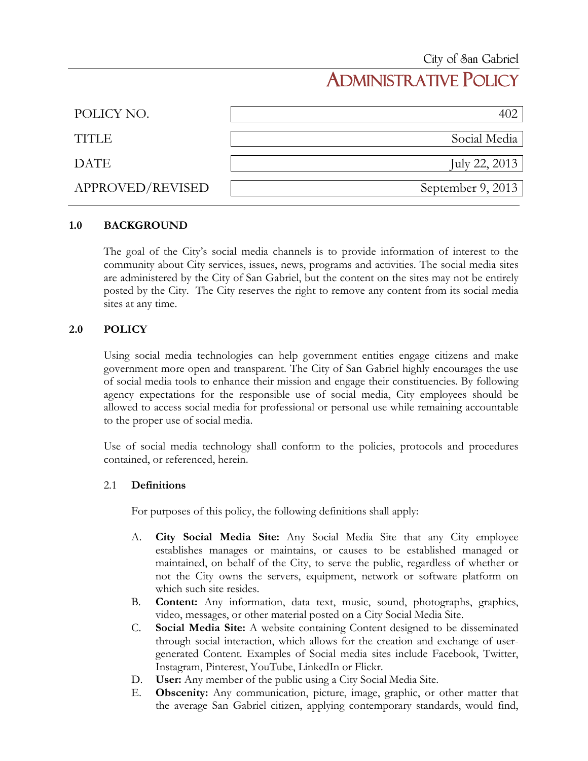# ADMINISTRATIVE POLICY

| POLICY NO.       |                   |
|------------------|-------------------|
| <b>TITLE</b>     | Social Media      |
| <b>DATE</b>      | July 22, 2013     |
| APPROVED/REVISED | September 9, 2013 |

### **1.0 BACKGROUND**

The goal of the City's social media channels is to provide information of interest to the community about City services, issues, news, programs and activities. The social media sites are administered by the City of San Gabriel, but the content on the sites may not be entirely posted by the City. The City reserves the right to remove any content from its social media sites at any time.

### **2.0 POLICY**

Using social media technologies can help government entities engage citizens and make government more open and transparent. The City of San Gabriel highly encourages the use of social media tools to enhance their mission and engage their constituencies. By following agency expectations for the responsible use of social media, City employees should be allowed to access social media for professional or personal use while remaining accountable to the proper use of social media.

Use of social media technology shall conform to the policies, protocols and procedures contained, or referenced, herein.

#### 2.1 **Definitions**

For purposes of this policy, the following definitions shall apply:

- A. **City Social Media Site:** Any Social Media Site that any City employee establishes manages or maintains, or causes to be established managed or maintained, on behalf of the City, to serve the public, regardless of whether or not the City owns the servers, equipment, network or software platform on which such site resides.
- B. **Content:** Any information, data text, music, sound, photographs, graphics, video, messages, or other material posted on a City Social Media Site.
- C. **Social Media Site:** A website containing Content designed to be disseminated through social interaction, which allows for the creation and exchange of usergenerated Content. Examples of Social media sites include Facebook, Twitter, Instagram, Pinterest, YouTube, LinkedIn or Flickr.
- D. **User:** Any member of the public using a City Social Media Site.
- E. **Obscenity:** Any communication, picture, image, graphic, or other matter that the average San Gabriel citizen, applying contemporary standards, would find,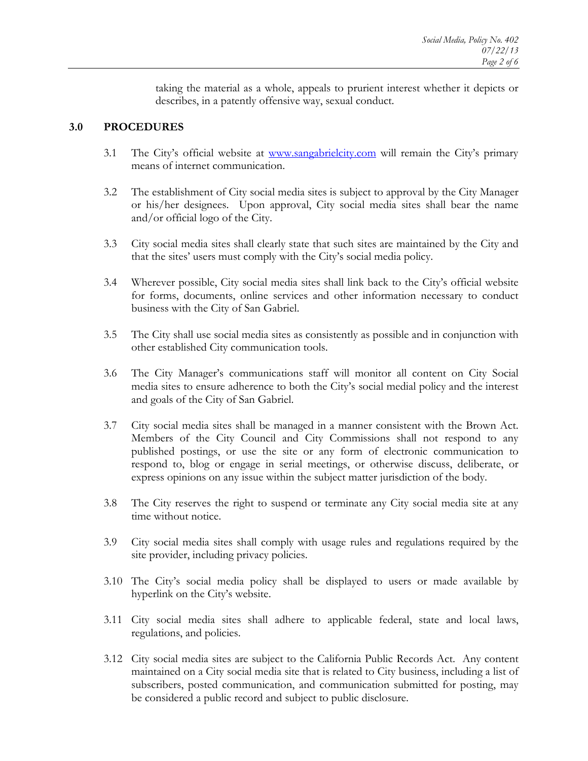taking the material as a whole, appeals to prurient interest whether it depicts or describes, in a patently offensive way, sexual conduct.

## **3.0 PROCEDURES**

- 3.1 The City's official website at [www.sangabrielcity.com](http://www.sangabrielcity.com/) will remain the City's primary means of internet communication.
- 3.2 The establishment of City social media sites is subject to approval by the City Manager or his/her designees. Upon approval, City social media sites shall bear the name and/or official logo of the City.
- 3.3 City social media sites shall clearly state that such sites are maintained by the City and that the sites' users must comply with the City's social media policy.
- 3.4 Wherever possible, City social media sites shall link back to the City's official website for forms, documents, online services and other information necessary to conduct business with the City of San Gabriel.
- 3.5 The City shall use social media sites as consistently as possible and in conjunction with other established City communication tools.
- 3.6 The City Manager's communications staff will monitor all content on City Social media sites to ensure adherence to both the City's social medial policy and the interest and goals of the City of San Gabriel.
- 3.7 City social media sites shall be managed in a manner consistent with the Brown Act. Members of the City Council and City Commissions shall not respond to any published postings, or use the site or any form of electronic communication to respond to, blog or engage in serial meetings, or otherwise discuss, deliberate, or express opinions on any issue within the subject matter jurisdiction of the body.
- 3.8 The City reserves the right to suspend or terminate any City social media site at any time without notice.
- 3.9 City social media sites shall comply with usage rules and regulations required by the site provider, including privacy policies.
- 3.10 The City's social media policy shall be displayed to users or made available by hyperlink on the City's website.
- 3.11 City social media sites shall adhere to applicable federal, state and local laws, regulations, and policies.
- 3.12 City social media sites are subject to the California Public Records Act. Any content maintained on a City social media site that is related to City business, including a list of subscribers, posted communication, and communication submitted for posting, may be considered a public record and subject to public disclosure.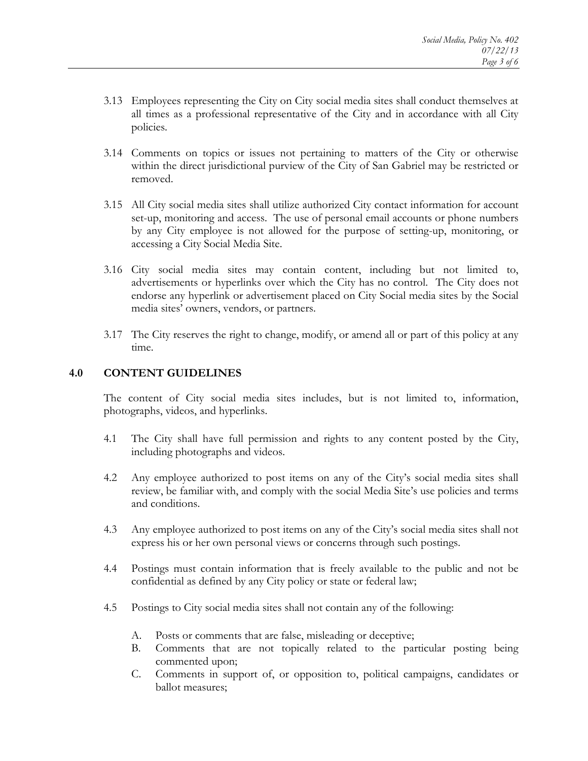- 3.13 Employees representing the City on City social media sites shall conduct themselves at all times as a professional representative of the City and in accordance with all City policies.
- 3.14 Comments on topics or issues not pertaining to matters of the City or otherwise within the direct jurisdictional purview of the City of San Gabriel may be restricted or removed.
- 3.15 All City social media sites shall utilize authorized City contact information for account set-up, monitoring and access. The use of personal email accounts or phone numbers by any City employee is not allowed for the purpose of setting-up, monitoring, or accessing a City Social Media Site.
- 3.16 City social media sites may contain content, including but not limited to, advertisements or hyperlinks over which the City has no control. The City does not endorse any hyperlink or advertisement placed on City Social media sites by the Social media sites' owners, vendors, or partners.
- 3.17 The City reserves the right to change, modify, or amend all or part of this policy at any time.

## **4.0 CONTENT GUIDELINES**

The content of City social media sites includes, but is not limited to, information, photographs, videos, and hyperlinks.

- 4.1 The City shall have full permission and rights to any content posted by the City, including photographs and videos.
- 4.2 Any employee authorized to post items on any of the City's social media sites shall review, be familiar with, and comply with the social Media Site's use policies and terms and conditions.
- 4.3 Any employee authorized to post items on any of the City's social media sites shall not express his or her own personal views or concerns through such postings.
- 4.4 Postings must contain information that is freely available to the public and not be confidential as defined by any City policy or state or federal law;
- 4.5 Postings to City social media sites shall not contain any of the following:
	- A. Posts or comments that are false, misleading or deceptive;
	- B. Comments that are not topically related to the particular posting being commented upon;
	- C. Comments in support of, or opposition to, political campaigns, candidates or ballot measures;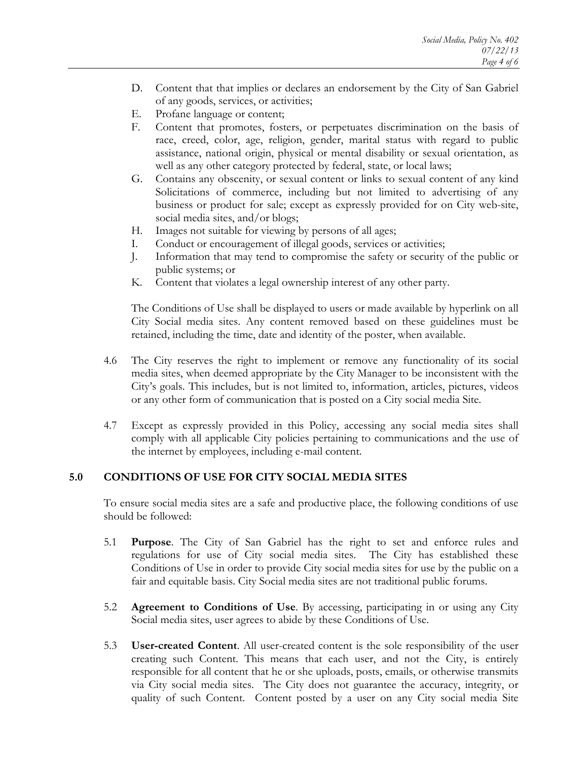- D. Content that that implies or declares an endorsement by the City of San Gabriel of any goods, services, or activities;
- E. Profane language or content;
- F. Content that promotes, fosters, or perpetuates discrimination on the basis of race, creed, color, age, religion, gender, marital status with regard to public assistance, national origin, physical or mental disability or sexual orientation, as well as any other category protected by federal, state, or local laws;
- G. Contains any obscenity, or sexual content or links to sexual content of any kind Solicitations of commerce, including but not limited to advertising of any business or product for sale; except as expressly provided for on City web-site, social media sites, and/or blogs;
- H. Images not suitable for viewing by persons of all ages;
- I. Conduct or encouragement of illegal goods, services or activities;
- J. Information that may tend to compromise the safety or security of the public or public systems; or
- K. Content that violates a legal ownership interest of any other party.

The Conditions of Use shall be displayed to users or made available by hyperlink on all City Social media sites. Any content removed based on these guidelines must be retained, including the time, date and identity of the poster, when available.

- 4.6 The City reserves the right to implement or remove any functionality of its social media sites, when deemed appropriate by the City Manager to be inconsistent with the City's goals. This includes, but is not limited to, information, articles, pictures, videos or any other form of communication that is posted on a City social media Site.
- 4.7 Except as expressly provided in this Policy, accessing any social media sites shall comply with all applicable City policies pertaining to communications and the use of the internet by employees, including e-mail content.

## **5.0 CONDITIONS OF USE FOR CITY SOCIAL MEDIA SITES**

To ensure social media sites are a safe and productive place, the following conditions of use should be followed:

- 5.1 **Purpose**. The City of San Gabriel has the right to set and enforce rules and regulations for use of City social media sites. The City has established these Conditions of Use in order to provide City social media sites for use by the public on a fair and equitable basis. City Social media sites are not traditional public forums.
- 5.2 **Agreement to Conditions of Use**. By accessing, participating in or using any City Social media sites, user agrees to abide by these Conditions of Use.
- 5.3 **User-created Content**. All user-created content is the sole responsibility of the user creating such Content. This means that each user, and not the City, is entirely responsible for all content that he or she uploads, posts, emails, or otherwise transmits via City social media sites. The City does not guarantee the accuracy, integrity, or quality of such Content. Content posted by a user on any City social media Site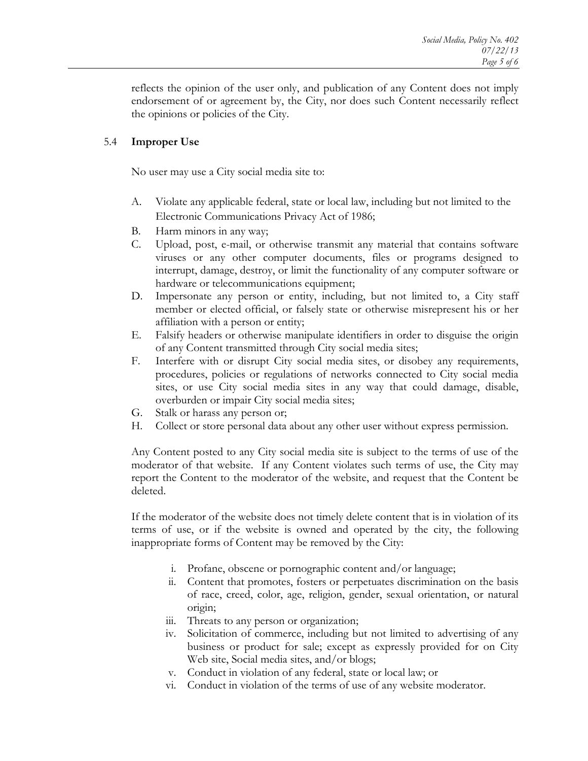reflects the opinion of the user only, and publication of any Content does not imply endorsement of or agreement by, the City, nor does such Content necessarily reflect the opinions or policies of the City.

# 5.4 **Improper Use**

No user may use a City social media site to:

- A. Violate any applicable federal, state or local law, including but not limited to the Electronic Communications Privacy Act of 1986;
- B. Harm minors in any way;
- C. Upload, post, e-mail, or otherwise transmit any material that contains software viruses or any other computer documents, files or programs designed to interrupt, damage, destroy, or limit the functionality of any computer software or hardware or telecommunications equipment;
- D. Impersonate any person or entity, including, but not limited to, a City staff member or elected official, or falsely state or otherwise misrepresent his or her affiliation with a person or entity;
- E. Falsify headers or otherwise manipulate identifiers in order to disguise the origin of any Content transmitted through City social media sites;
- F. Interfere with or disrupt City social media sites, or disobey any requirements, procedures, policies or regulations of networks connected to City social media sites, or use City social media sites in any way that could damage, disable, overburden or impair City social media sites;
- G. Stalk or harass any person or;
- H. Collect or store personal data about any other user without express permission.

Any Content posted to any City social media site is subject to the terms of use of the moderator of that website. If any Content violates such terms of use, the City may report the Content to the moderator of the website, and request that the Content be deleted.

If the moderator of the website does not timely delete content that is in violation of its terms of use, or if the website is owned and operated by the city, the following inappropriate forms of Content may be removed by the City:

- i. Profane, obscene or pornographic content and/or language;
- ii. Content that promotes, fosters or perpetuates discrimination on the basis of race, creed, color, age, religion, gender, sexual orientation, or natural origin;
- iii. Threats to any person or organization;
- iv. Solicitation of commerce, including but not limited to advertising of any business or product for sale; except as expressly provided for on City Web site, Social media sites, and/or blogs;
- v. Conduct in violation of any federal, state or local law; or
- vi. Conduct in violation of the terms of use of any website moderator.